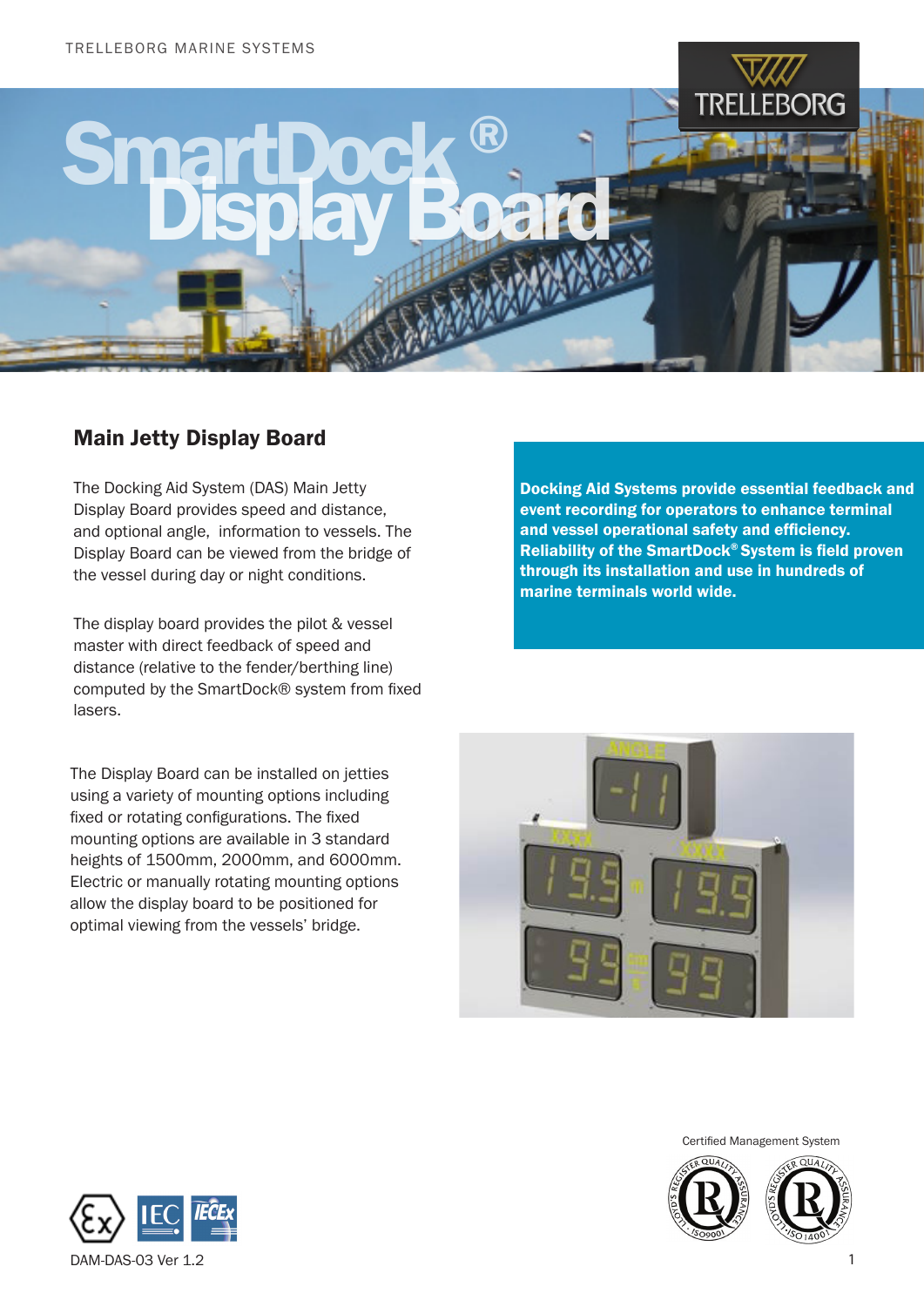

## Main Jetty Display Board

The Docking Aid System (DAS) Main Jetty Display Board provides speed and distance, and optional angle, information to vessels. The Display Board can be viewed from the bridge of the vessel during day or night conditions.

The display board provides the pilot & vessel master with direct feedback of speed and distance (relative to the fender/berthing line) computed by the SmartDock® system from fixed lasers.

The Display Board can be installed on jetties using a variety of mounting options including fixed or rotating configurations. The fixed mounting options are available in 3 standard heights of 1500mm, 2000mm, and 6000mm. Electric or manually rotating mounting options allow the display board to be positioned for optimal viewing from the vessels' bridge.

Docking Aid Systems provide essential feedback and event recording for operators to enhance terminal and vessel operational safety and efficiency. Reliability of the SmartDock® System is field proven through its installation and use in hundreds of marine terminals world wide.



Certified Management System



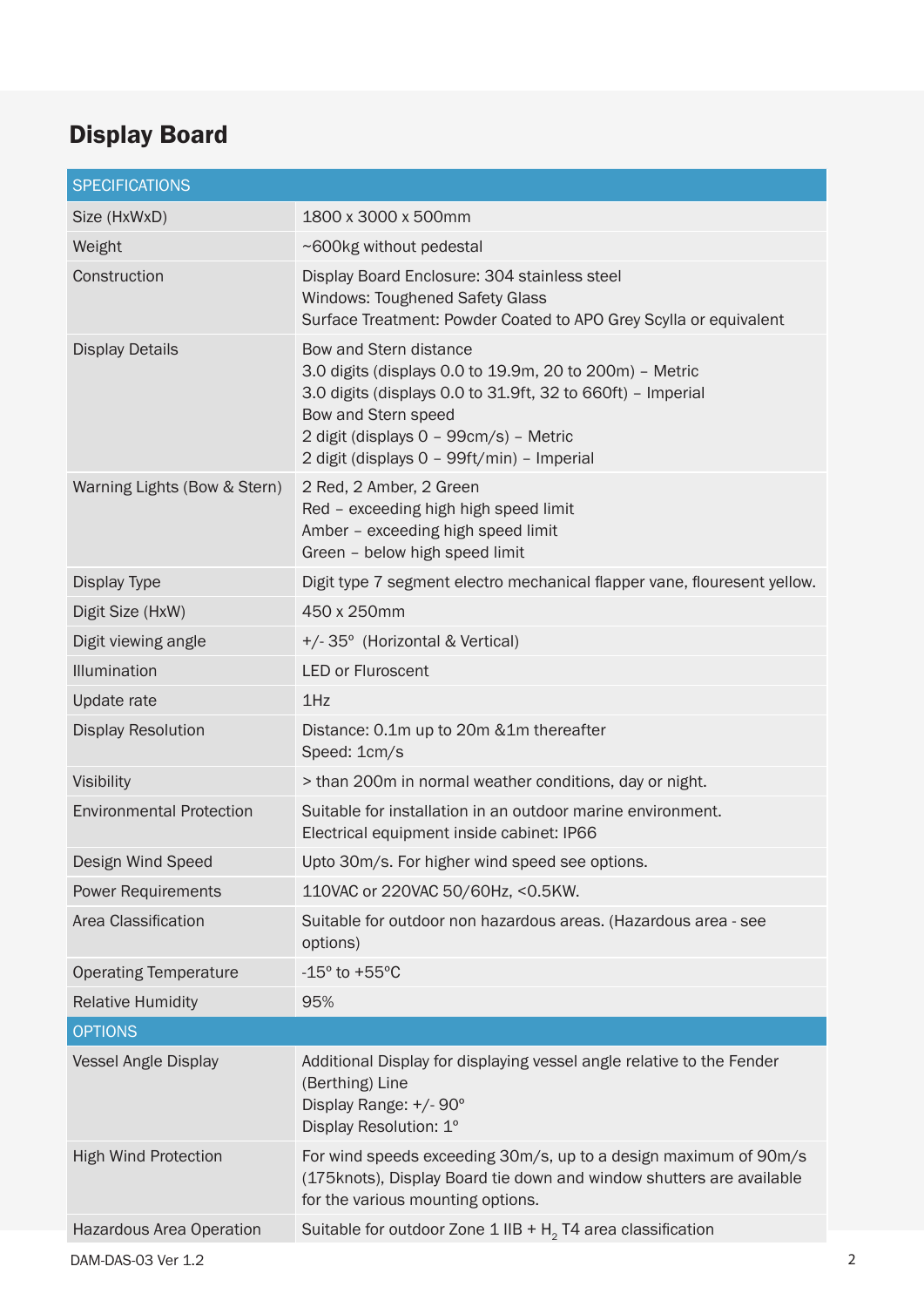## Display Board

| <b>SPECIFICATIONS</b>           |                                                                                                                                                                                                                                                                 |
|---------------------------------|-----------------------------------------------------------------------------------------------------------------------------------------------------------------------------------------------------------------------------------------------------------------|
| Size (HxWxD)                    | 1800 x 3000 x 500mm                                                                                                                                                                                                                                             |
| Weight                          | ~600kg without pedestal                                                                                                                                                                                                                                         |
| Construction                    | Display Board Enclosure: 304 stainless steel<br><b>Windows: Toughened Safety Glass</b><br>Surface Treatment: Powder Coated to APO Grey Scylla or equivalent                                                                                                     |
| <b>Display Details</b>          | Bow and Stern distance<br>3.0 digits (displays 0.0 to 19.9m, 20 to 200m) - Metric<br>3.0 digits (displays 0.0 to 31.9ft, 32 to 660ft) - Imperial<br>Bow and Stern speed<br>2 digit (displays 0 - 99cm/s) - Metric<br>2 digit (displays 0 - 99ft/min) - Imperial |
| Warning Lights (Bow & Stern)    | 2 Red, 2 Amber, 2 Green<br>Red - exceeding high high speed limit<br>Amber - exceeding high speed limit<br>Green - below high speed limit                                                                                                                        |
| Display Type                    | Digit type 7 segment electro mechanical flapper vane, flouresent yellow.                                                                                                                                                                                        |
| Digit Size (HxW)                | 450 x 250mm                                                                                                                                                                                                                                                     |
| Digit viewing angle             | +/-35° (Horizontal & Vertical)                                                                                                                                                                                                                                  |
| Illumination                    | <b>LED or Fluroscent</b>                                                                                                                                                                                                                                        |
| Update rate                     | 1Hz                                                                                                                                                                                                                                                             |
| <b>Display Resolution</b>       | Distance: 0.1m up to 20m &1m thereafter<br>Speed: 1cm/s                                                                                                                                                                                                         |
| Visibility                      | > than 200m in normal weather conditions, day or night.                                                                                                                                                                                                         |
| <b>Environmental Protection</b> | Suitable for installation in an outdoor marine environment.<br>Electrical equipment inside cabinet: IP66                                                                                                                                                        |
| Design Wind Speed               | Upto 30m/s. For higher wind speed see options.                                                                                                                                                                                                                  |
| <b>Power Requirements</b>       | 110VAC or 220VAC 50/60Hz, <0.5KW.                                                                                                                                                                                                                               |
| Area Classification             | Suitable for outdoor non hazardous areas. (Hazardous area - see<br>options)                                                                                                                                                                                     |
| <b>Operating Temperature</b>    | $-15^\circ$ to $+55^\circ$ C                                                                                                                                                                                                                                    |
| <b>Relative Humidity</b>        | 95%                                                                                                                                                                                                                                                             |
| <b>OPTIONS</b>                  |                                                                                                                                                                                                                                                                 |
| <b>Vessel Angle Display</b>     | Additional Display for displaying vessel angle relative to the Fender<br>(Berthing) Line<br>Display Range: +/- 90°<br>Display Resolution: 1°                                                                                                                    |
| <b>High Wind Protection</b>     | For wind speeds exceeding 30m/s, up to a design maximum of 90m/s<br>(175knots), Display Board tie down and window shutters are available<br>for the various mounting options.                                                                                   |
| Hazardous Area Operation        | Suitable for outdoor Zone 1 IIB + $H_2$ T4 area classification                                                                                                                                                                                                  |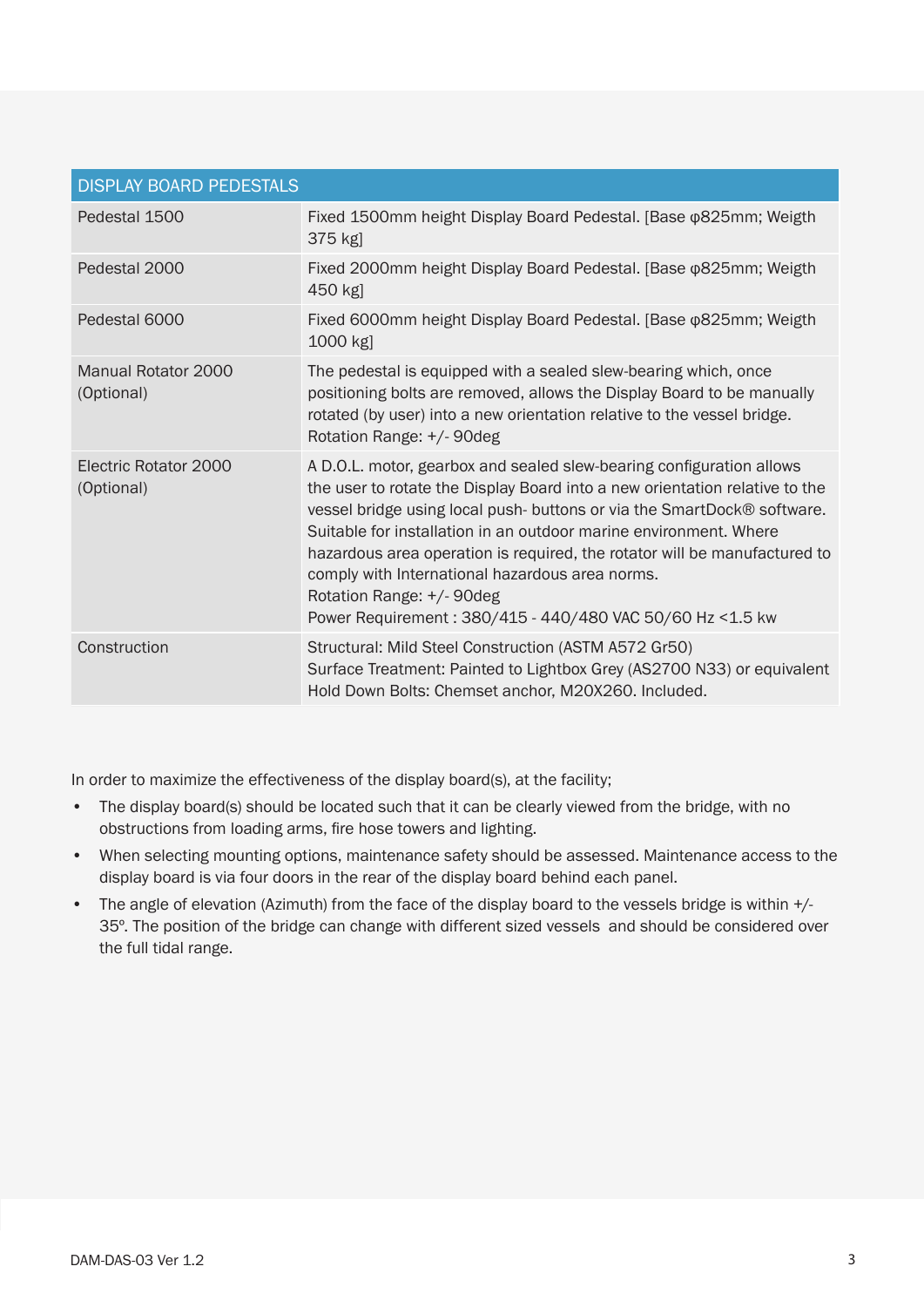| <b>DISPLAY BOARD PEDESTALS</b>           |                                                                                                                                                                                                                                                                                                                                                                                                                                                                                                                              |
|------------------------------------------|------------------------------------------------------------------------------------------------------------------------------------------------------------------------------------------------------------------------------------------------------------------------------------------------------------------------------------------------------------------------------------------------------------------------------------------------------------------------------------------------------------------------------|
| Pedestal 1500                            | Fixed 1500mm height Display Board Pedestal. [Base @825mm; Weigth<br>375 kg]                                                                                                                                                                                                                                                                                                                                                                                                                                                  |
| Pedestal 2000                            | Fixed 2000mm height Display Board Pedestal. [Base @825mm; Weigth<br>450 kg]                                                                                                                                                                                                                                                                                                                                                                                                                                                  |
| Pedestal 6000                            | Fixed 6000mm height Display Board Pedestal. [Base $\phi$ 825mm; Weigth<br>1000 kg]                                                                                                                                                                                                                                                                                                                                                                                                                                           |
| <b>Manual Rotator 2000</b><br>(Optional) | The pedestal is equipped with a sealed slew-bearing which, once<br>positioning bolts are removed, allows the Display Board to be manually<br>rotated (by user) into a new orientation relative to the vessel bridge.<br>Rotation Range: +/- 90deg                                                                                                                                                                                                                                                                            |
| Electric Rotator 2000<br>(Optional)      | A D.O.L. motor, gearbox and sealed slew-bearing configuration allows<br>the user to rotate the Display Board into a new orientation relative to the<br>vessel bridge using local push-buttons or via the SmartDock® software.<br>Suitable for installation in an outdoor marine environment. Where<br>hazardous area operation is required, the rotator will be manufactured to<br>comply with International hazardous area norms.<br>Rotation Range: +/- 90deg<br>Power Requirement: 380/415 - 440/480 VAC 50/60 Hz <1.5 kw |
| Construction                             | Structural: Mild Steel Construction (ASTM A572 Gr50)<br>Surface Treatment: Painted to Lightbox Grey (AS2700 N33) or equivalent<br>Hold Down Bolts: Chemset anchor, M20X260. Included.                                                                                                                                                                                                                                                                                                                                        |

In order to maximize the effectiveness of the display board(s), at the facility;

- The display board(s) should be located such that it can be clearly viewed from the bridge, with no obstructions from loading arms, fire hose towers and lighting.
- When selecting mounting options, maintenance safety should be assessed. Maintenance access to the display board is via four doors in the rear of the display board behind each panel.
- The angle of elevation (Azimuth) from the face of the display board to the vessels bridge is within +/-35º. The position of the bridge can change with different sized vessels and should be considered over the full tidal range.